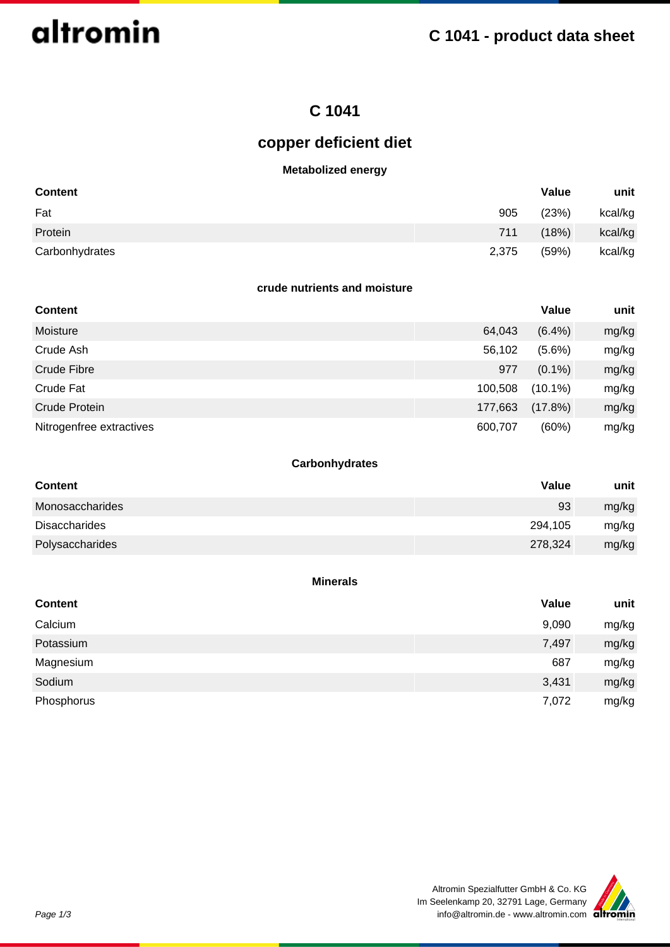

## **C 1041**

## **copper deficient diet**

#### **Metabolized energy**

| <b>Content</b> |       | Value | unit    |
|----------------|-------|-------|---------|
| Fat            | 905   | (23%) | kcal/kg |
| Protein        | 711   | (18%) | kcal/kg |
| Carbonhydrates | 2,375 | (59%) | kcal/kg |

#### **crude nutrients and moisture**

| <b>Content</b>           |         | Value      | unit  |
|--------------------------|---------|------------|-------|
| Moisture                 | 64,043  | $(6.4\%)$  | mg/kg |
| Crude Ash                | 56,102  | $(5.6\%)$  | mg/kg |
| Crude Fibre              | 977     | $(0.1\%)$  | mg/kg |
| Crude Fat                | 100,508 | $(10.1\%)$ | mg/kg |
| Crude Protein            | 177,663 | $(17.8\%)$ | mg/kg |
| Nitrogenfree extractives | 600,707 | (60%)      | mg/kg |

## **Carbonhydrates**

| <b>Content</b>  | <b>Value</b> | unit  |
|-----------------|--------------|-------|
| Monosaccharides | 93           | mg/kg |
| Disaccharides   | 294,105      | mg/kg |
| Polysaccharides | 278,324      | mg/kg |

#### **Minerals**

| <b>Content</b> | Value | unit  |
|----------------|-------|-------|
| Calcium        | 9,090 | mg/kg |
| Potassium      | 7,497 | mg/kg |
| Magnesium      | 687   | mg/kg |
| Sodium         | 3,431 | mg/kg |
| Phosphorus     | 7,072 | mg/kg |

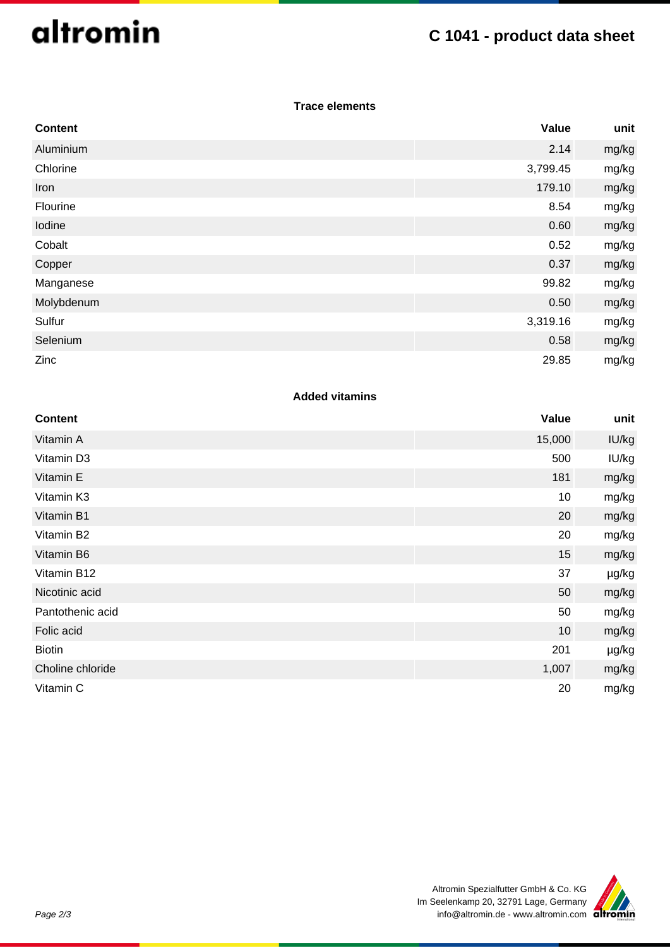# altromin

# **C 1041 - product data sheet**

## **Trace elements**

| <b>Content</b> | Value    | unit  |
|----------------|----------|-------|
| Aluminium      | 2.14     | mg/kg |
| Chlorine       | 3,799.45 | mg/kg |
| Iron           | 179.10   | mg/kg |
| Flourine       | 8.54     | mg/kg |
| Iodine         | 0.60     | mg/kg |
| Cobalt         | 0.52     | mg/kg |
| Copper         | 0.37     | mg/kg |
| Manganese      | 99.82    | mg/kg |
| Molybdenum     | 0.50     | mg/kg |
| Sulfur         | 3,319.16 | mg/kg |
| Selenium       | 0.58     | mg/kg |
| Zinc           | 29.85    | mg/kg |

## **Added vitamins**

| <b>Content</b>   | Value  | unit  |
|------------------|--------|-------|
| Vitamin A        | 15,000 | IU/kg |
| Vitamin D3       | 500    | IU/kg |
| Vitamin E        | 181    | mg/kg |
| Vitamin K3       | 10     | mg/kg |
| Vitamin B1       | 20     | mg/kg |
| Vitamin B2       | 20     | mg/kg |
| Vitamin B6       | 15     | mg/kg |
| Vitamin B12      | 37     | µg/kg |
| Nicotinic acid   | 50     | mg/kg |
| Pantothenic acid | 50     | mg/kg |
| Folic acid       | 10     | mg/kg |
| <b>Biotin</b>    | 201    | µg/kg |
| Choline chloride | 1,007  | mg/kg |
| Vitamin C        | 20     | mg/kg |